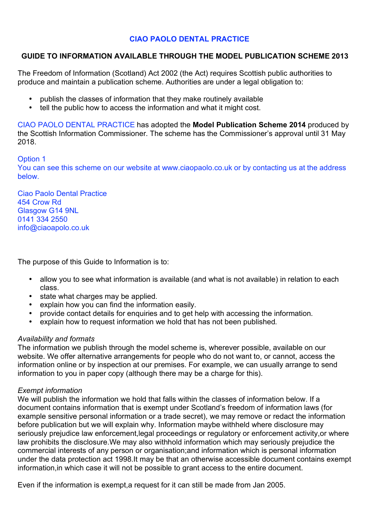# **CIAO PAOLO DENTAL PRACTICE**

# **GUIDE TO INFORMATION AVAILABLE THROUGH THE MODEL PUBLICATION SCHEME 2013**

The Freedom of Information (Scotland) Act 2002 (the Act) requires Scottish public authorities to produce and maintain a publication scheme. Authorities are under a legal obligation to:

- publish the classes of information that they make routinely available
- tell the public how to access the information and what it might cost.

CIAO PAOLO DENTAL PRACTICE has adopted the **Model Publication Scheme 2014** produced by the Scottish Information Commissioner. The scheme has the Commissioner's approval until 31 May 2018.

### Option 1

You can see this scheme on our website at www.ciaopaolo.co.uk or by contacting us at the address below.

Ciao Paolo Dental Practice 454 Crow Rd Glasgow G14 9NL 0141 334 2550 info@ciaoapolo.co.uk

The purpose of this Guide to Information is to:

- allow you to see what information is available (and what is not available) in relation to each class.
- state what charges may be applied.
- explain how you can find the information easily.
- provide contact details for enquiries and to get help with accessing the information.<br>• explain how to request information we hold that has not been published.
- explain how to request information we hold that has not been published.

### *Availability and formats*

The information we publish through the model scheme is, wherever possible, available on our website. We offer alternative arrangements for people who do not want to, or cannot, access the information online or by inspection at our premises. For example, we can usually arrange to send information to you in paper copy (although there may be a charge for this).

### *Exempt information*

We will publish the information we hold that falls within the classes of information below. If a document contains information that is exempt under Scotland's freedom of information laws (for example sensitive personal information or a trade secret), we may remove or redact the information before publication but we will explain why. Information maybe withheld where disclosure may seriously prejudice law enforcement, legal proceedings or regulatory or enforcement activity, or where law prohibits the disclosure.We may also withhold information which may seriously prejudice the commercial interests of any person or organisation;and information which is personal information under the data protection act 1998.It may be that an otherwise accessible document contains exempt information,in which case it will not be possible to grant access to the entire document.

Even if the information is exempt,a request for it can still be made from Jan 2005.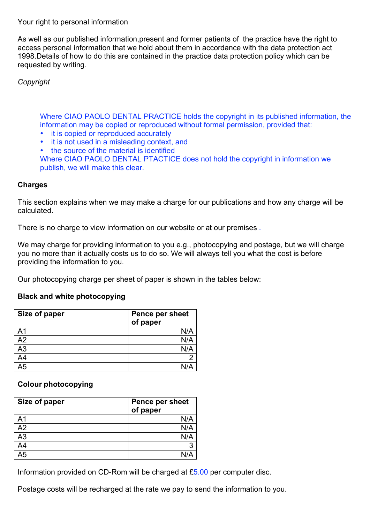Your right to personal information

As well as our published information,present and former patients of the practice have the right to access personal information that we hold about them in accordance with the data protection act 1998.Details of how to do this are contained in the practice data protection policy which can be requested by writing.

*Copyright*

Where CIAO PAOLO DENTAL PRACTICE holds the copyright in its published information, the information may be copied or reproduced without formal permission, provided that:

- it is copied or reproduced accurately
- it is not used in a misleading context, and<br>• the source of the material is identified
- the source of the material is identified

Where CIAO PAOLO DENTAL PTACTICE does not hold the copyright in information we publish, we will make this clear.

# **Charges**

This section explains when we may make a charge for our publications and how any charge will be calculated.

There is no charge to view information on our website or at our premises .

We may charge for providing information to you e.g., photocopying and postage, but we will charge you no more than it actually costs us to do so. We will always tell you what the cost is before providing the information to you.

Our photocopying charge per sheet of paper is shown in the tables below:

# **Black and white photocopying**

| Size of paper  | <b>Pence per sheet</b><br>of paper |
|----------------|------------------------------------|
| A <sub>1</sub> | N/A                                |
| A2             | N/A                                |
| A3             | N/A                                |
| A <sub>4</sub> |                                    |
| A <sub>5</sub> | N/A                                |

# **Colour photocopying**

| Size of paper   | Pence per sheet<br>of paper |
|-----------------|-----------------------------|
| A <sub>1</sub>  | N/A                         |
| $\overline{A2}$ | N/A                         |
| $\overline{A3}$ | N/A                         |
| $A\overline{4}$ | 3                           |
| A <sub>5</sub>  |                             |

Information provided on CD-Rom will be charged at  $£5.00$  per computer disc.

Postage costs will be recharged at the rate we pay to send the information to you.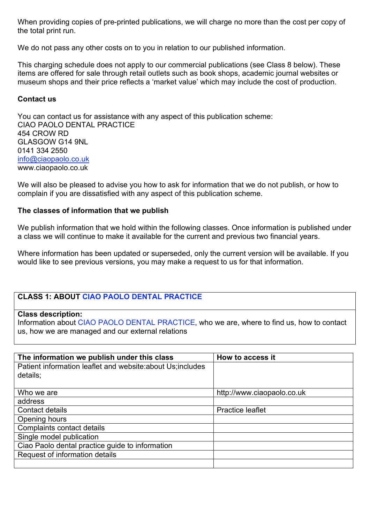When providing copies of pre-printed publications, we will charge no more than the cost per copy of the total print run.

We do not pass any other costs on to you in relation to our published information.

This charging schedule does not apply to our commercial publications (see Class 8 below). These items are offered for sale through retail outlets such as book shops, academic journal websites or museum shops and their price reflects a 'market value' which may include the cost of production.

### **Contact us**

You can contact us for assistance with any aspect of this publication scheme: CIAO PAOLO DENTAL PRACTICE 454 CROW RD GLASGOW G14 9NL 0141 334 2550 info@ciaopaolo.co.uk www.ciaopaolo.co.uk

We will also be pleased to advise you how to ask for information that we do not publish, or how to complain if you are dissatisfied with any aspect of this publication scheme.

### **The classes of information that we publish**

We publish information that we hold within the following classes. Once information is published under a class we will continue to make it available for the current and previous two financial years.

Where information has been updated or superseded, only the current version will be available. If you would like to see previous versions, you may make a request to us for that information.

# **CLASS 1: ABOUT CIAO PAOLO DENTAL PRACTICE**

### **Class description:**

Information about CIAO PAOLO DENTAL PRACTICE, who we are, where to find us, how to contact us, how we are managed and our external relations

| The information we publish under this class                 | How to access it           |
|-------------------------------------------------------------|----------------------------|
| Patient information leaflet and website: about Us; includes |                            |
| details;                                                    |                            |
|                                                             |                            |
| Who we are                                                  | http://www.ciaopaolo.co.uk |
| address                                                     |                            |
| Contact details                                             | <b>Practice leaflet</b>    |
| Opening hours                                               |                            |
| Complaints contact details                                  |                            |
| Single model publication                                    |                            |
| Ciao Paolo dental practice guide to information             |                            |
| Request of information details                              |                            |
|                                                             |                            |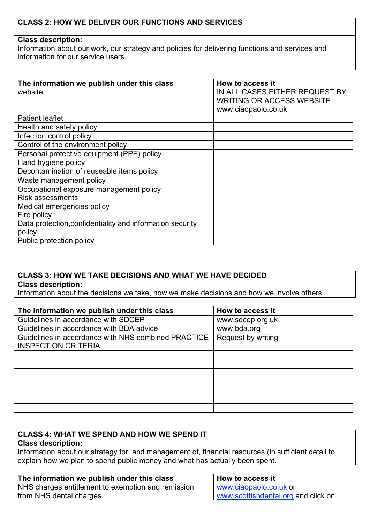# **CLASS 2: HOW WE DELIVER OUR FUNCTIONS AND SERVICES**

### **Class description:**

Information about our work, our strategy and policies for delivering functions and services and information for our service users.

| The information we publish under this class               | How to access it                 |
|-----------------------------------------------------------|----------------------------------|
| website                                                   | IN ALL CASES EITHER REQUEST BY   |
|                                                           | <b>WRITING OR ACCESS WEBSITE</b> |
|                                                           |                                  |
|                                                           | www.ciaopaolo.co.uk              |
| <b>Patient leaflet</b>                                    |                                  |
| Health and safety policy                                  |                                  |
| Infection control policy                                  |                                  |
| Control of the environment policy                         |                                  |
| Personal protective equipment (PPE) policy                |                                  |
| Hand hygiene policy                                       |                                  |
| Decontamination of reuseable items policy                 |                                  |
| Waste management policy                                   |                                  |
| Occupational exposure management policy                   |                                  |
| <b>Risk assessments</b>                                   |                                  |
| Medical emergencies policy                                |                                  |
| Fire policy                                               |                                  |
| Data protection, confidentiality and information security |                                  |
| policy                                                    |                                  |
| Public protection policy                                  |                                  |

# **CLASS 3: HOW WE TAKE DECISIONS AND WHAT WE HAVE DECIDED**

### **Class description:**

Information about the decisions we take, how we make decisions and how we involve others

| The information we publish under this class         | How to access it   |
|-----------------------------------------------------|--------------------|
| Guidelines in accordance with SDCEP                 | www.sdcep.org.uk   |
| Guidelines in accordance with BDA advice            | www.bda.org        |
| Guidelines in accordance with NHS combined PRACTICE | Request by writing |
| <b>INSPECTION CRITERIA</b>                          |                    |
|                                                     |                    |
|                                                     |                    |
|                                                     |                    |
|                                                     |                    |
|                                                     |                    |
|                                                     |                    |
|                                                     |                    |

# **CLASS 4: WHAT WE SPEND AND HOW WE SPEND IT**

# **Class description:**

Information about our strategy for, and management of, financial resources (in sufficient detail to explain how we plan to spend public money and what has actually been spent.

| The information we publish under this class         | How to access it                    |
|-----------------------------------------------------|-------------------------------------|
| NHS charges, entitlement to exemption and remission | www.ciaopaolo.co.uk or              |
| from NHS dental charges                             | www.scottishdental.org and click on |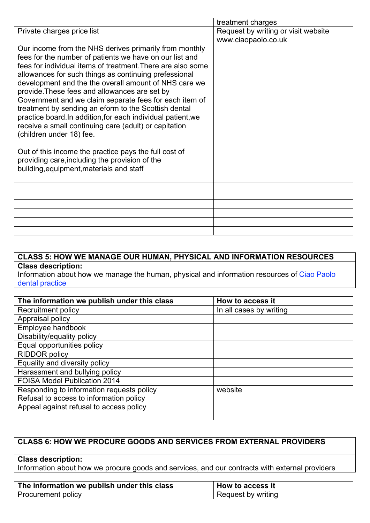|                                                                                                                                                                                                                                                                                                                                                                                                                                                                                                                                      | treatment charges                   |
|--------------------------------------------------------------------------------------------------------------------------------------------------------------------------------------------------------------------------------------------------------------------------------------------------------------------------------------------------------------------------------------------------------------------------------------------------------------------------------------------------------------------------------------|-------------------------------------|
| Private charges price list                                                                                                                                                                                                                                                                                                                                                                                                                                                                                                           | Request by writing or visit website |
|                                                                                                                                                                                                                                                                                                                                                                                                                                                                                                                                      | www.ciaopaolo.co.uk                 |
| Our income from the NHS derives primarily from monthly<br>fees for the number of patients we have on our list and<br>fees for individual items of treatment. There are also some<br>allowances for such things as continuing prefessional<br>development and the the overall amount of NHS care we<br>provide. These fees and allowances are set by<br>Government and we claim separate fees for each item of<br>treatment by sending an eform to the Scottish dental<br>practice board.In addition, for each individual patient, we |                                     |
| receive a small continuing care (adult) or capitation<br>(children under 18) fee.                                                                                                                                                                                                                                                                                                                                                                                                                                                    |                                     |
| Out of this income the practice pays the full cost of<br>providing care, including the provision of the<br>building, equipment, materials and staff                                                                                                                                                                                                                                                                                                                                                                                  |                                     |
|                                                                                                                                                                                                                                                                                                                                                                                                                                                                                                                                      |                                     |
|                                                                                                                                                                                                                                                                                                                                                                                                                                                                                                                                      |                                     |
|                                                                                                                                                                                                                                                                                                                                                                                                                                                                                                                                      |                                     |
|                                                                                                                                                                                                                                                                                                                                                                                                                                                                                                                                      |                                     |
|                                                                                                                                                                                                                                                                                                                                                                                                                                                                                                                                      |                                     |
|                                                                                                                                                                                                                                                                                                                                                                                                                                                                                                                                      |                                     |
|                                                                                                                                                                                                                                                                                                                                                                                                                                                                                                                                      |                                     |

# **CLASS 5: HOW WE MANAGE OUR HUMAN, PHYSICAL AND INFORMATION RESOURCES Class description:**

Information about how we manage the human, physical and information resources of Ciao Paolo dental practice

| The information we publish under this class | How to access it        |
|---------------------------------------------|-------------------------|
| Recruitment policy                          | In all cases by writing |
| Appraisal policy                            |                         |
| Employee handbook                           |                         |
| Disability/equality policy                  |                         |
| Equal opportunities policy                  |                         |
| <b>RIDDOR policy</b>                        |                         |
| Equality and diversity policy               |                         |
| Harassment and bullying policy              |                         |
| <b>FOISA Model Publication 2014</b>         |                         |
| Responding to information requests policy   | website                 |
| Refusal to access to information policy     |                         |
| Appeal against refusal to access policy     |                         |
|                                             |                         |

# **CLASS 6: HOW WE PROCURE GOODS AND SERVICES FROM EXTERNAL PROVIDERS**

#### **Class description:**

Information about how we procure goods and services, and our contracts with external providers

| The information we publish under this class | <b>How to access it</b> |
|---------------------------------------------|-------------------------|
| Procurement policy                          | Request by writing      |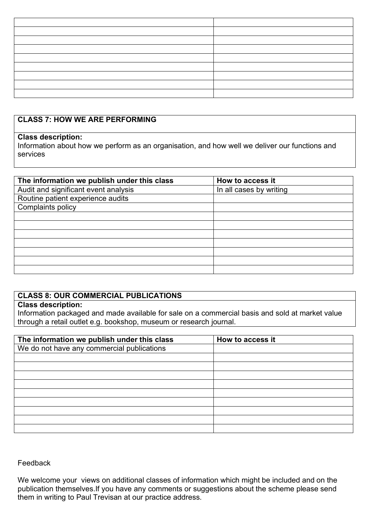# **CLASS 7: HOW WE ARE PERFORMING**

### **Class description:**

Information about how we perform as an organisation, and how well we deliver our functions and services

| The information we publish under this class | How to access it        |
|---------------------------------------------|-------------------------|
| Audit and significant event analysis        | In all cases by writing |
| Routine patient experience audits           |                         |
| Complaints policy                           |                         |
|                                             |                         |
|                                             |                         |
|                                             |                         |
|                                             |                         |
|                                             |                         |
|                                             |                         |
|                                             |                         |

# **CLASS 8: OUR COMMERCIAL PUBLICATIONS**

### **Class description:**

Information packaged and made available for sale on a commercial basis and sold at market value through a retail outlet e.g. bookshop, museum or research journal.

| The information we publish under this class | How to access it |
|---------------------------------------------|------------------|
| We do not have any commercial publications  |                  |
|                                             |                  |
|                                             |                  |
|                                             |                  |
|                                             |                  |
|                                             |                  |
|                                             |                  |
|                                             |                  |
|                                             |                  |
|                                             |                  |

### Feedback

We welcome your views on additional classes of information which might be included and on the publication themselves.If you have any comments or suggestions about the scheme please send them in writing to Paul Trevisan at our practice address.